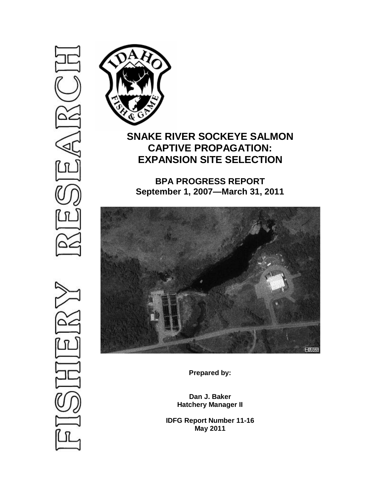# (⊴ 고



# **SNAKE RIVER SOCKEYE SALMON CAPTIVE PROPAGATION: EXPANSION SITE SELECTION**

**BPA PROGRESS REPORT September 1, 2007—March 31, 2011**



**Prepared by:**

**Dan J. Baker Hatchery Manager II**

**IDFG Report Number 11-16 May 2011**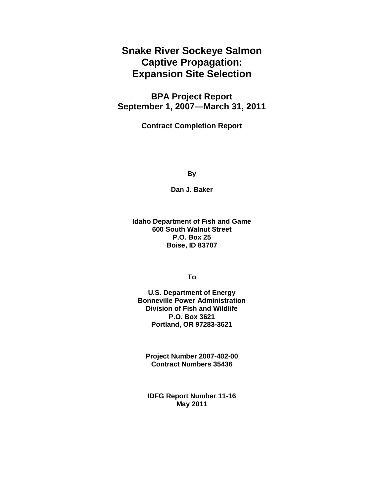**Snake River Sockeye Salmon Captive Propagation: Expansion Site Selection**

**BPA Project Report September 1, 2007—March 31, 2011**

**Contract Completion Report**

**By**

**Dan J. Baker**

**Idaho Department of Fish and Game 600 South Walnut Street P.O. Box 25 Boise, ID 83707**

**To**

**U.S. Department of Energy Bonneville Power Administration Division of Fish and Wildlife P.O. Box 3621 Portland, OR 97283-3621**

**Project Number 2007-402-00 Contract Numbers 35436**

**IDFG Report Number 11-16 May 2011**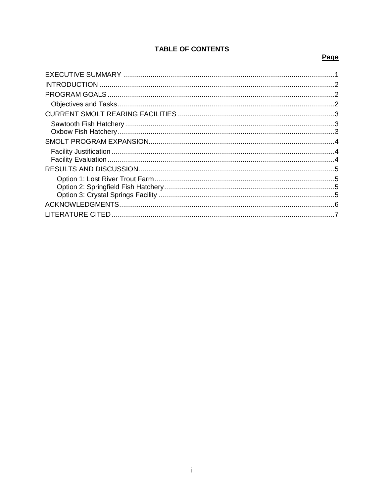# **TABLE OF CONTENTS**

## Page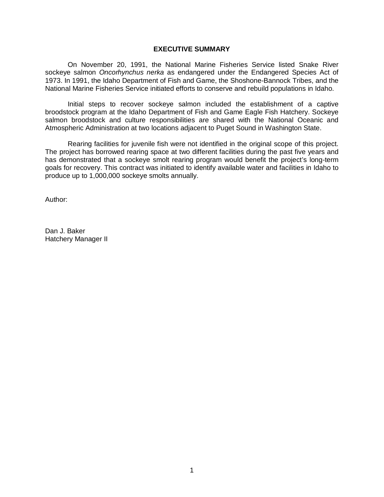### **EXECUTIVE SUMMARY**

<span id="page-3-0"></span>On November 20, 1991, the National Marine Fisheries Service listed Snake River sockeye salmon *Oncorhynchus nerka* as endangered under the Endangered Species Act of 1973. In 1991, the Idaho Department of Fish and Game, the Shoshone-Bannock Tribes, and the National Marine Fisheries Service initiated efforts to conserve and rebuild populations in Idaho.

Initial steps to recover sockeye salmon included the establishment of a captive broodstock program at the Idaho Department of Fish and Game Eagle Fish Hatchery. Sockeye salmon broodstock and culture responsibilities are shared with the National Oceanic and Atmospheric Administration at two locations adjacent to Puget Sound in Washington State.

Rearing facilities for juvenile fish were not identified in the original scope of this project. The project has borrowed rearing space at two different facilities during the past five years and has demonstrated that a sockeye smolt rearing program would benefit the project's long-term goals for recovery. This contract was initiated to identify available water and facilities in Idaho to produce up to 1,000,000 sockeye smolts annually.

Author:

Dan J. Baker Hatchery Manager II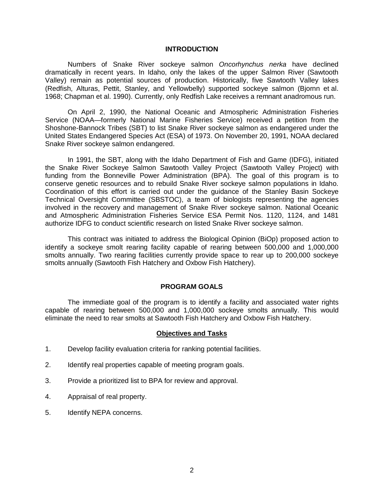### **INTRODUCTION**

<span id="page-4-0"></span>Numbers of Snake River sockeye salmon *Oncorhynchus nerka* have declined dramatically in recent years. In Idaho, only the lakes of the upper Salmon River (Sawtooth Valley) remain as potential sources of production. Historically, five Sawtooth Valley lakes (Redfish, Alturas, Pettit, Stanley, and Yellowbelly) supported sockeye salmon (Bjornn et al. 1968; Chapman et al. 1990). Currently, only Redfish Lake receives a remnant anadromous run.

On April 2, 1990, the National Oceanic and Atmospheric Administration Fisheries Service (NOAA—formerly National Marine Fisheries Service) received a petition from the Shoshone-Bannock Tribes (SBT) to list Snake River sockeye salmon as endangered under the United States Endangered Species Act (ESA) of 1973. On November 20, 1991, NOAA declared Snake River sockeye salmon endangered.

In 1991, the SBT, along with the Idaho Department of Fish and Game (IDFG), initiated the Snake River Sockeye Salmon Sawtooth Valley Project (Sawtooth Valley Project) with funding from the Bonneville Power Administration (BPA). The goal of this program is to conserve genetic resources and to rebuild Snake River sockeye salmon populations in Idaho. Coordination of this effort is carried out under the guidance of the Stanley Basin Sockeye Technical Oversight Committee (SBSTOC), a team of biologists representing the agencies involved in the recovery and management of Snake River sockeye salmon. National Oceanic and Atmospheric Administration Fisheries Service ESA Permit Nos. 1120, 1124, and 1481 authorize IDFG to conduct scientific research on listed Snake River sockeye salmon.

This contract was initiated to address the Biological Opinion (BiOp) proposed action to identify a sockeye smolt rearing facility capable of rearing between 500,000 and 1,000,000 smolts annually. Two rearing facilities currently provide space to rear up to 200,000 sockeye smolts annually (Sawtooth Fish Hatchery and Oxbow Fish Hatchery).

### **PROGRAM GOALS**

<span id="page-4-2"></span><span id="page-4-1"></span>The immediate goal of the program is to identify a facility and associated water rights capable of rearing between 500,000 and 1,000,000 sockeye smolts annually. This would eliminate the need to rear smolts at Sawtooth Fish Hatchery and Oxbow Fish Hatchery.

### **Objectives and Tasks**

- 1. Develop facility evaluation criteria for ranking potential facilities.
- 2. Identify real properties capable of meeting program goals.
- 3. Provide a prioritized list to BPA for review and approval.
- 4. Appraisal of real property.
- 5. Identify NEPA concerns.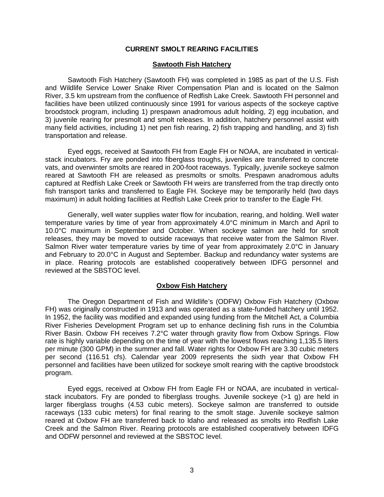### **CURRENT SMOLT REARING FACILITIES**

### **Sawtooth Fish Hatchery**

<span id="page-5-1"></span><span id="page-5-0"></span>Sawtooth Fish Hatchery (Sawtooth FH) was completed in 1985 as part of the U.S. Fish and Wildlife Service Lower Snake River Compensation Plan and is located on the Salmon River, 3.5 km upstream from the confluence of Redfish Lake Creek. Sawtooth FH personnel and facilities have been utilized continuously since 1991 for various aspects of the sockeye captive broodstock program, including 1) prespawn anadromous adult holding, 2) egg incubation, and 3) juvenile rearing for presmolt and smolt releases. In addition, hatchery personnel assist with many field activities, including 1) net pen fish rearing, 2) fish trapping and handling, and 3) fish transportation and release.

Eyed eggs, received at Sawtooth FH from Eagle FH or NOAA, are incubated in verticalstack incubators. Fry are ponded into fiberglass troughs, juveniles are transferred to concrete vats, and overwinter smolts are reared in 200-foot raceways. Typically, juvenile sockeye salmon reared at Sawtooth FH are released as presmolts or smolts. Prespawn anadromous adults captured at Redfish Lake Creek or Sawtooth FH weirs are transferred from the trap directly onto fish transport tanks and transferred to Eagle FH. Sockeye may be temporarily held (two days maximum) in adult holding facilities at Redfish Lake Creek prior to transfer to the Eagle FH.

Generally, well water supplies water flow for incubation, rearing, and holding. Well water temperature varies by time of year from approximately 4.0°C minimum in March and April to 10.0°C maximum in September and October. When sockeye salmon are held for smolt releases, they may be moved to outside raceways that receive water from the Salmon River. Salmon River water temperature varies by time of year from approximately 2.0°C in January and February to 20.0°C in August and September. Backup and redundancy water systems are in place. Rearing protocols are established cooperatively between IDFG personnel and reviewed at the SBSTOC level.

### **Oxbow Fish Hatchery**

<span id="page-5-2"></span>The Oregon Department of Fish and Wildlife's (ODFW) Oxbow Fish Hatchery (Oxbow FH) was originally constructed in 1913 and was operated as a state-funded hatchery until 1952. In 1952, the facility was modified and expanded using funding from the Mitchell Act, a Columbia River Fisheries Development Program set up to enhance declining fish runs in the Columbia River Basin. Oxbow FH receives 7.2°C water through gravity flow from Oxbow Springs. Flow rate is highly variable depending on the time of year with the lowest flows reaching 1,135.5 liters per minute (300 GPM) in the summer and fall. Water rights for Oxbow FH are 3.30 cubic meters per second (116.51 cfs). Calendar year 2009 represents the sixth year that Oxbow FH personnel and facilities have been utilized for sockeye smolt rearing with the captive broodstock program.

Eyed eggs, received at Oxbow FH from Eagle FH or NOAA, are incubated in verticalstack incubators. Fry are ponded to fiberglass troughs. Juvenile sockeye (>1 g) are held in larger fiberglass troughs (4.53 cubic meters). Sockeye salmon are transferred to outside raceways (133 cubic meters) for final rearing to the smolt stage. Juvenile sockeye salmon reared at Oxbow FH are transferred back to Idaho and released as smolts into Redfish Lake Creek and the Salmon River. Rearing protocols are established cooperatively between IDFG and ODFW personnel and reviewed at the SBSTOC level.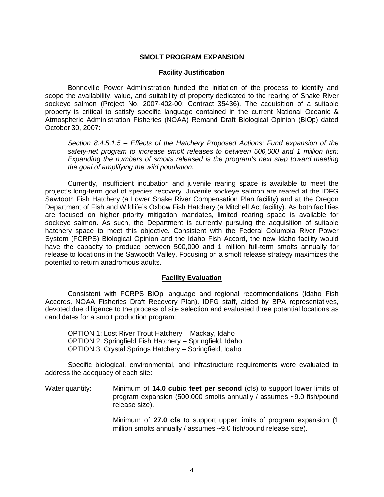### **SMOLT PROGRAM EXPANSION**

### **Facility Justification**

<span id="page-6-1"></span><span id="page-6-0"></span>Bonneville Power Administration funded the initiation of the process to identify and scope the availability, value, and suitability of property dedicated to the rearing of Snake River sockeye salmon (Project No. 2007-402-00; Contract 35436). The acquisition of a suitable property is critical to satisfy specific language contained in the current National Oceanic & Atmospheric Administration Fisheries (NOAA) Remand Draft Biological Opinion (BiOp) dated October 30, 2007:

*Section 8.4.5.1.5 – Effects of the Hatchery Proposed Actions: Fund expansion of the safety-net program to increase smolt releases to between 500,000 and 1 million fish; Expanding the numbers of smolts released is the program's next step toward meeting the goal of amplifying the wild population.*

Currently, insufficient incubation and juvenile rearing space is available to meet the project's long-term goal of species recovery. Juvenile sockeye salmon are reared at the IDFG Sawtooth Fish Hatchery (a Lower Snake River Compensation Plan facility) and at the Oregon Department of Fish and Wildlife's Oxbow Fish Hatchery (a Mitchell Act facility). As both facilities are focused on higher priority mitigation mandates, limited rearing space is available for sockeye salmon. As such, the Department is currently pursuing the acquisition of suitable hatchery space to meet this objective. Consistent with the Federal Columbia River Power System (FCRPS) Biological Opinion and the Idaho Fish Accord, the new Idaho facility would have the capacity to produce between 500,000 and 1 million full-term smolts annually for release to locations in the Sawtooth Valley. Focusing on a smolt release strategy maximizes the potential to return anadromous adults.

### **Facility Evaluation**

<span id="page-6-2"></span>Consistent with FCRPS BiOp language and regional recommendations (Idaho Fish Accords, NOAA Fisheries Draft Recovery Plan), IDFG staff, aided by BPA representatives, devoted due diligence to the process of site selection and evaluated three potential locations as candidates for a smolt production program:

OPTION 1: Lost River Trout Hatchery – Mackay, Idaho OPTION 2: Springfield Fish Hatchery – Springfield, Idaho OPTION 3: Crystal Springs Hatchery – Springfield, Idaho

Specific biological, environmental, and infrastructure requirements were evaluated to address the adequacy of each site:

Water quantity: Minimum of **14.0 cubic feet per second** (cfs) to support lower limits of program expansion (500,000 smolts annually / assumes ~9.0 fish/pound release size).

> Minimum of **27.0 cfs** to support upper limits of program expansion (1 million smolts annually / assumes ~9.0 fish/pound release size).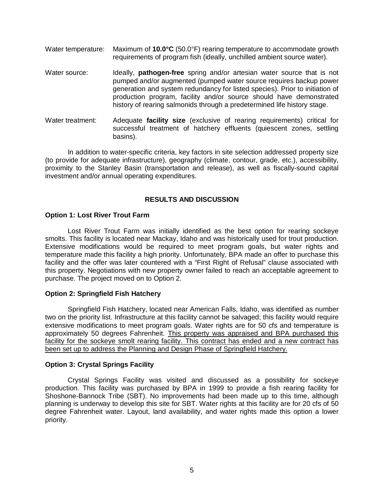- Water temperature: Maximum of **10.0°C** (50.0°F) rearing temperature to accommodate growth requirements of program fish (ideally, unchilled ambient source water).
- Water source: Ideally, **pathogen-free** spring and/or artesian water source that is not pumped and/or augmented (pumped water source requires backup power generation and system redundancy for listed species). Prior to initiation of production program, facility and/or source should have demonstrated history of rearing salmonids through a predetermined life history stage.
- Water treatment: Adequate **facility size** (exclusive of rearing requirements) critical for successful treatment of hatchery effluents (quiescent zones, settling basins).

In addition to water-specific criteria, key factors in site selection addressed property size (to provide for adequate infrastructure), geography (climate, contour, grade, etc.), accessibility, proximity to the Stanley Basin (transportation and release), as well as fiscally-sound capital investment and/or annual operating expenditures.

### **RESULTS AND DISCUSSION**

### <span id="page-7-1"></span><span id="page-7-0"></span>**Option 1: Lost River Trout Farm**

Lost River Trout Farm was initially identified as the best option for rearing sockeye smolts. This facility is located near Mackay, Idaho and was historically used for trout production. Extensive modifications would be required to meet program goals, but water rights and temperature made this facility a high priority. Unfortunately, BPA made an offer to purchase this facility and the offer was later countered with a "First Right of Refusal" clause associated with this property. Negotiations with new property owner failed to reach an acceptable agreement to purchase. The project moved on to Option 2.

### <span id="page-7-2"></span>**Option 2: Springfield Fish Hatchery**

Springfield Fish Hatchery, located near American Falls, Idaho, was identified as number two on the priority list. Infrastructure at this facility cannot be salvaged; this facility would require extensive modifications to meet program goals. Water rights are for 50 cfs and temperature is approximately 50 degrees Fahrenheit. This property was appraised and BPA purchased this facility for the sockeye smolt rearing facility. This contract has ended and a new contract has been set up to address the Planning and Design Phase of Springfield Hatchery.

### <span id="page-7-3"></span>**Option 3: Crystal Springs Facility**

Crystal Springs Facility was visited and discussed as a possibility for sockeye production. This facility was purchased by BPA in 1999 to provide a fish rearing facility for Shoshone-Bannock Tribe (SBT). No improvements had been made up to this time, although planning is underway to develop this site for SBT. Water rights at this facility are for 20 cfs of 50 degree Fahrenheit water. Layout, land availability, and water rights made this option a lower priority.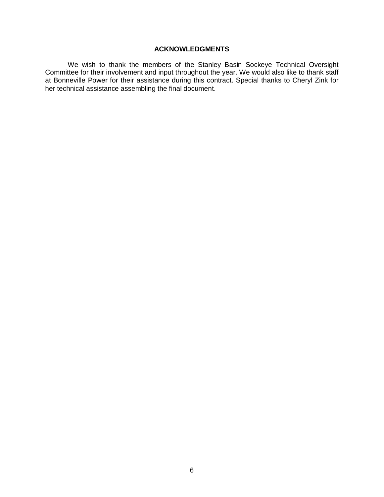### **ACKNOWLEDGMENTS**

<span id="page-8-0"></span>We wish to thank the members of the Stanley Basin Sockeye Technical Oversight Committee for their involvement and input throughout the year. We would also like to thank staff at Bonneville Power for their assistance during this contract. Special thanks to Cheryl Zink for her technical assistance assembling the final document.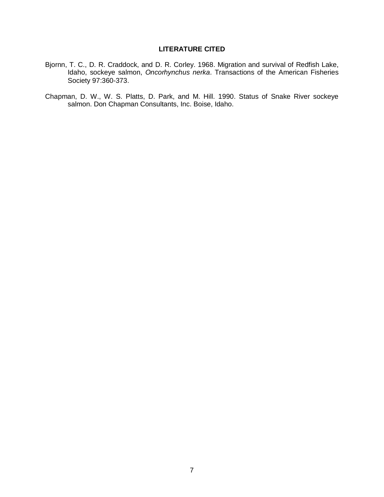### **LITERATURE CITED**

- <span id="page-9-0"></span>Bjornn, T. C., D. R. Craddock, and D. R. Corley. 1968. Migration and survival of Redfish Lake, Idaho, sockeye salmon, *Oncorhynchus nerka*. Transactions of the American Fisheries Society 97:360-373.
- Chapman, D. W., W. S. Platts, D. Park, and M. Hill. 1990. Status of Snake River sockeye salmon. Don Chapman Consultants, Inc. Boise, Idaho.